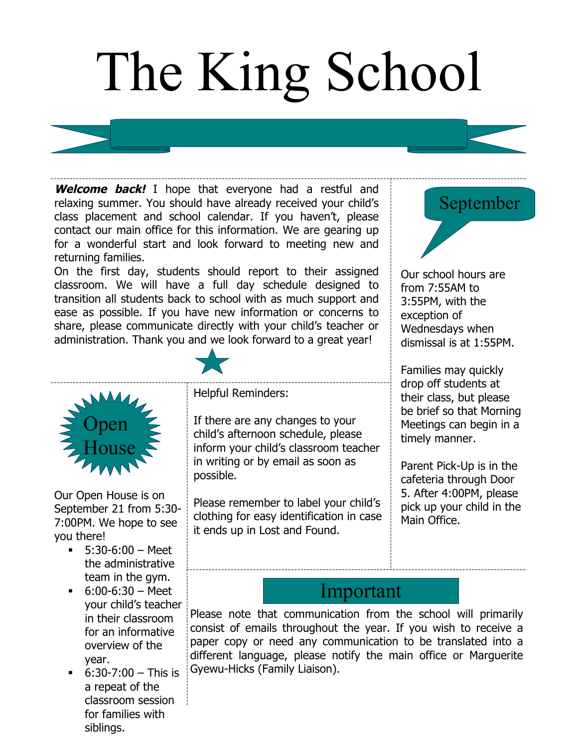## The King School

**Welcome back!** I hope that everyone had a restful and relaxing summer. You should have already received your child's class placement and school calendar. If you haven't, please contact our main office for this information. We are gearing up for a wonderful start and look forward to meeting new and returning families.

On the first day, students should report to their assigned classroom. We will have a full day schedule designed to transition all students back to school with as much support and ease as possible. If you have new information or concerns to share, please communicate directly with your child's teacher or administration. Thank you and we look forward to a great year!





Our Open House is on September 21 from 5:30- 7:00PM. We hope to see you there!

- $-5:30-6:00 \text{Meet}$ the administrative team in the gym.
- $-6:00-6:30 Meet$ your child's teacher in their classroom for an informative overview of the year.
- $-6:30-7:00 This is$ a repeat of the classroom session for families with siblings.

Helpful Reminders:

If there are any changes to your child's afternoon schedule, please inform your child's classroom teacher in writing or by email as soon as possible.

Please remember to label your child's clothing for easy identification in case it ends up in Lost and Found.



Our school hours are from 7:55AM to 3:55PM, with the exception of Wednesdays when dismissal is at 1:55PM.

Families may quickly drop off students at their class, but please be brief so that Morning Meetings can begin in a timely manner.

Parent Pick-Up is in the cafeteria through Door 5. After 4:00PM, please pick up your child in the Main Office.

## Important

Please note that communication from the school will primarily consist of emails throughout the year. If you wish to receive a paper copy or need any communication to be translated into a different language, please notify the main office or Marguerite Gyewu-Hicks (Family Liaison).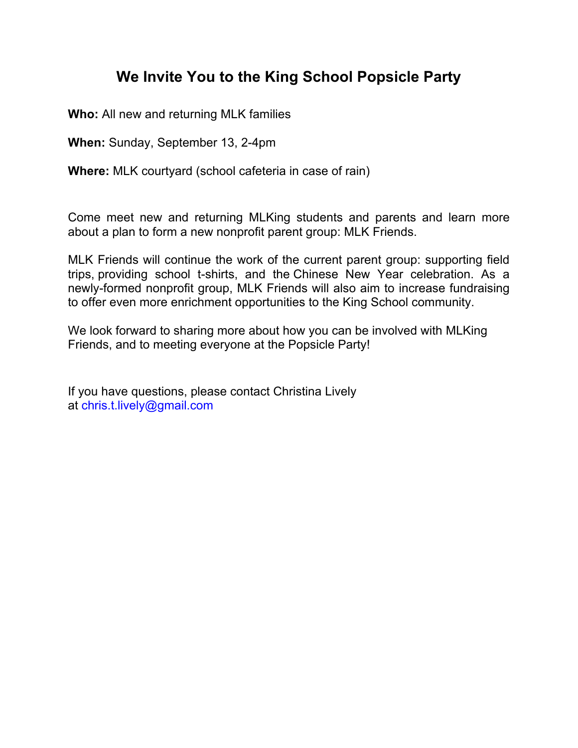## **We Invite You to the King School Popsicle Party**

**Who:** All new and returning MLK families

**When:** Sunday, September 13, 2-4pm

**Where:** MLK courtyard (school cafeteria in case of rain)

Come meet new and returning MLKing students and parents and learn more about a plan to form a new nonprofit parent group: MLK Friends.

MLK Friends will continue the work of the current parent group: supporting field trips, providing school t-shirts, and the Chinese New Year celebration. As a newly-formed nonprofit group, MLK Friends will also aim to increase fundraising to offer even more enrichment opportunities to the King School community.

We look forward to sharing more about how you can be involved with MLKing Friends, and to meeting everyone at the Popsicle Party!

If you have questions, please contact Christina Lively at chris.t.lively@gmail.com